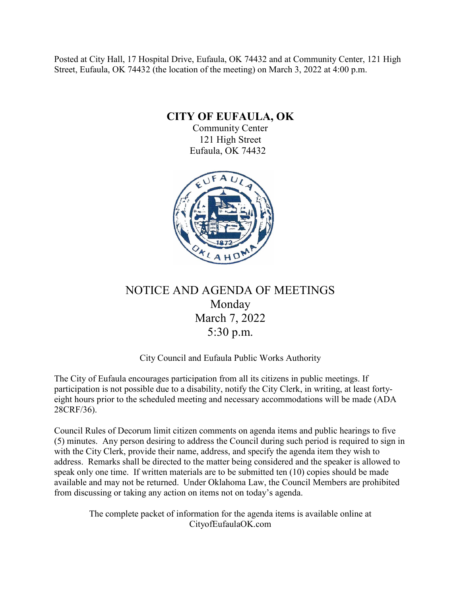Posted at City Hall, 17 Hospital Drive, Eufaula, OK 74432 and at Community Center, 121 High Street, Eufaula, OK 74432 (the location of the meeting) on March 3, 2022 at 4:00 p.m.

**CITY OF EUFAULA, OK**

Community Center 121 High Street Eufaula, OK 74432



# NOTICE AND AGENDA OF MEETINGS Monday March 7, 2022 5:30 p.m.

# City Council and Eufaula Public Works Authority

The City of Eufaula encourages participation from all its citizens in public meetings. If participation is not possible due to a disability, notify the City Clerk, in writing, at least fortyeight hours prior to the scheduled meeting and necessary accommodations will be made (ADA 28CRF/36).

Council Rules of Decorum limit citizen comments on agenda items and public hearings to five (5) minutes. Any person desiring to address the Council during such period is required to sign in with the City Clerk, provide their name, address, and specify the agenda item they wish to address. Remarks shall be directed to the matter being considered and the speaker is allowed to speak only one time. If written materials are to be submitted ten (10) copies should be made available and may not be returned. Under Oklahoma Law, the Council Members are prohibited from discussing or taking any action on items not on today's agenda.

The complete packet of information for the agenda items is available online at CityofEufaulaOK.com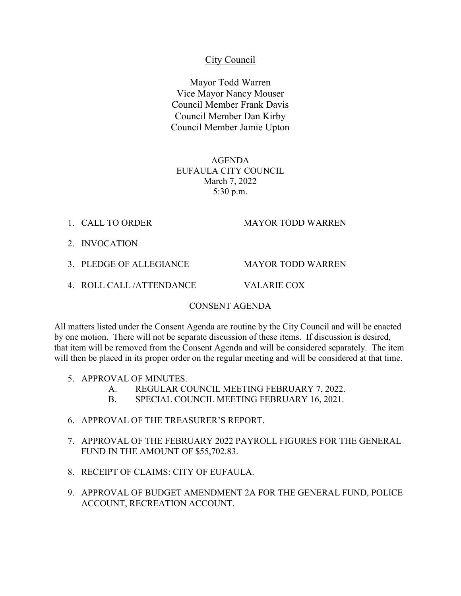# City Council

Mayor Todd Warren Vice Mayor Nancy Mouser Council Member Frank Davis Council Member Dan Kirby Council Member Jamie Upton

AGENDA EUFAULA CITY COUNCIL March 7, 2022 5:30 p.m.

1. CALL TO ORDER MAYOR TODD WARREN

- 2. INVOCATION
- 3. PLEDGE OF ALLEGIANCE MAYOR TODD WARREN
- 4. ROLL CALL /ATTENDANCE VALARIE COX

#### CONSENT AGENDA

All matters listed under the Consent Agenda are routine by the City Council and will be enacted by one motion. There will not be separate discussion of these items. If discussion is desired, that item will be removed from the Consent Agenda and will be considered separately. The item will then be placed in its proper order on the regular meeting and will be considered at that time.

- 5. APPROVAL OF MINUTES.
	- A. REGULAR COUNCIL MEETING FEBRUARY 7, 2022.
	- B. SPECIAL COUNCIL MEETING FEBRUARY 16, 2021.
- 6. APPROVAL OF THE TREASURER'S REPORT.
- 7. APPROVAL OF THE FEBRUARY 2022 PAYROLL FIGURES FOR THE GENERAL FUND IN THE AMOUNT OF \$55,702.83.
- 8. RECEIPT OF CLAIMS: CITY OF EUFAULA.
- 9. APPROVAL OF BUDGET AMENDMENT 2A FOR THE GENERAL FUND, POLICE ACCOUNT, RECREATION ACCOUNT.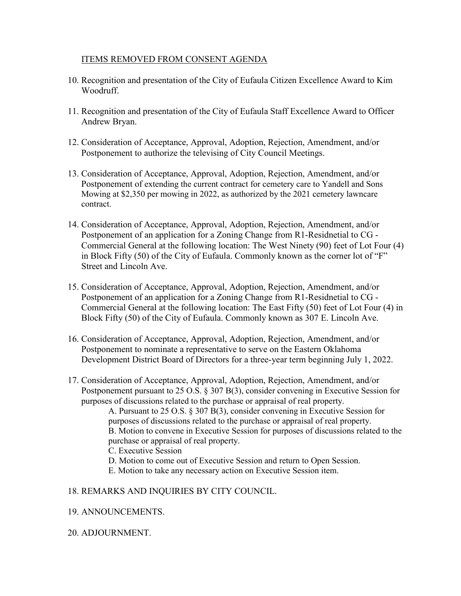## ITEMS REMOVED FROM CONSENT AGENDA

- 10. Recognition and presentation of the City of Eufaula Citizen Excellence Award to Kim Woodruff.
- 11. Recognition and presentation of the City of Eufaula Staff Excellence Award to Officer Andrew Bryan.
- 12. Consideration of Acceptance, Approval, Adoption, Rejection, Amendment, and/or Postponement to authorize the televising of City Council Meetings.
- 13. Consideration of Acceptance, Approval, Adoption, Rejection, Amendment, and/or Postponement of extending the current contract for cemetery care to Yandell and Sons Mowing at \$2,350 per mowing in 2022, as authorized by the 2021 cemetery lawncare contract.
- 14. Consideration of Acceptance, Approval, Adoption, Rejection, Amendment, and/or Postponement of an application for a Zoning Change from R1-Residnetial to CG - Commercial General at the following location: The West Ninety (90) feet of Lot Four (4) in Block Fifty (50) of the City of Eufaula. Commonly known as the corner lot of "F" Street and Lincoln Ave.
- 15. Consideration of Acceptance, Approval, Adoption, Rejection, Amendment, and/or Postponement of an application for a Zoning Change from R1-Residnetial to CG - Commercial General at the following location: The East Fifty (50) feet of Lot Four (4) in Block Fifty (50) of the City of Eufaula. Commonly known as 307 E. Lincoln Ave.
- 16. Consideration of Acceptance, Approval, Adoption, Rejection, Amendment, and/or Postponement to nominate a representative to serve on the Eastern Oklahoma Development District Board of Directors for a three-year term beginning July 1, 2022.
- 17. Consideration of Acceptance, Approval, Adoption, Rejection, Amendment, and/or Postponement pursuant to 25 O.S. § 307 B(3), consider convening in Executive Session for purposes of discussions related to the purchase or appraisal of real property.

A. Pursuant to 25 O.S. § 307 B(3), consider convening in Executive Session for purposes of discussions related to the purchase or appraisal of real property. B. Motion to convene in Executive Session for purposes of discussions related to the purchase or appraisal of real property.

- C. Executive Session
- D. Motion to come out of Executive Session and return to Open Session.
- E. Motion to take any necessary action on Executive Session item.

#### 18. REMARKS AND INQUIRIES BY CITY COUNCIL.

- 19. ANNOUNCEMENTS.
- 20. ADJOURNMENT.